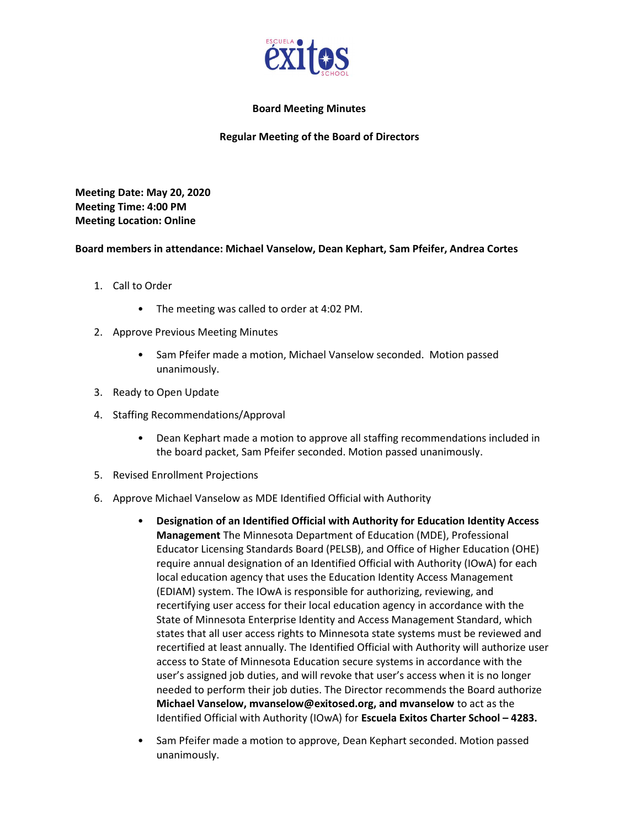

## Board Meeting Minutes

## Regular Meeting of the Board of Directors

Meeting Date: May 20, 2020 Meeting Time: 4:00 PM Meeting Location: Online

## Board members in attendance: Michael Vanselow, Dean Kephart, Sam Pfeifer, Andrea Cortes

- 1. Call to Order
	- The meeting was called to order at 4:02 PM.
- 2. Approve Previous Meeting Minutes
	- Sam Pfeifer made a motion, Michael Vanselow seconded. Motion passed unanimously.
- 3. Ready to Open Update
- 4. Staffing Recommendations/Approval
	- Dean Kephart made a motion to approve all staffing recommendations included in the board packet, Sam Pfeifer seconded. Motion passed unanimously.
- 5. Revised Enrollment Projections
- 6. Approve Michael Vanselow as MDE Identified Official with Authority
	- Designation of an Identified Official with Authority for Education Identity Access Management The Minnesota Department of Education (MDE), Professional Educator Licensing Standards Board (PELSB), and Office of Higher Education (OHE) require annual designation of an Identified Official with Authority (IOwA) for each local education agency that uses the Education Identity Access Management (EDIAM) system. The IOwA is responsible for authorizing, reviewing, and recertifying user access for their local education agency in accordance with the State of Minnesota Enterprise Identity and Access Management Standard, which states that all user access rights to Minnesota state systems must be reviewed and recertified at least annually. The Identified Official with Authority will authorize user access to State of Minnesota Education secure systems in accordance with the user's assigned job duties, and will revoke that user's access when it is no longer needed to perform their job duties. The Director recommends the Board authorize Michael Vanselow, mvanselow@exitosed.org, and mvanselow to act as the Identified Official with Authority (IOwA) for Escuela Exitos Charter School – 4283.
	- Sam Pfeifer made a motion to approve, Dean Kephart seconded. Motion passed unanimously.